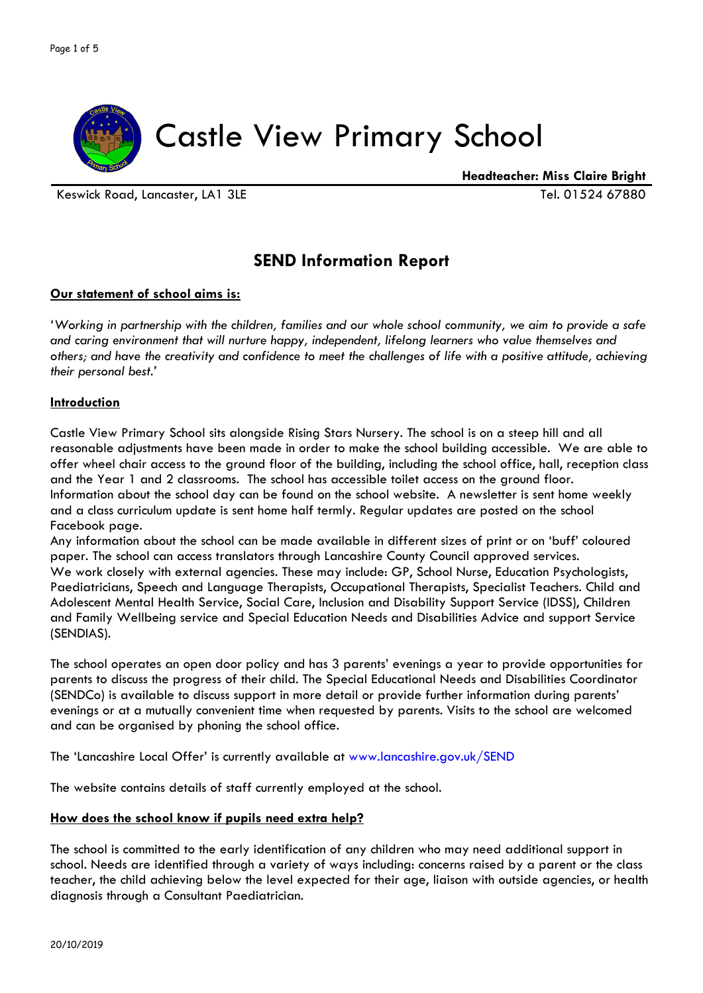

Keswick Road, Lancaster, LA1 3LE Tel. 01524 67880

 **Headteacher: Miss Claire Bright**

# **SEND Information Report**

### **Our statement of school aims is:**

*'Working in partnership with the children, families and our whole school community, we aim to provide a safe and caring environment that will nurture happy, independent, lifelong learners who value themselves and others; and have the creativity and confidence to meet the challenges of life with a positive attitude, achieving their personal best.'*

### **Introduction**

Castle View Primary School sits alongside Rising Stars Nursery. The school is on a steep hill and all reasonable adjustments have been made in order to make the school building accessible. We are able to offer wheel chair access to the ground floor of the building, including the school office, hall, reception class and the Year 1 and 2 classrooms. The school has accessible toilet access on the ground floor. Information about the school day can be found on the school website. A newsletter is sent home weekly and a class curriculum update is sent home half termly. Regular updates are posted on the school Facebook page.

Any information about the school can be made available in different sizes of print or on 'buff' coloured paper. The school can access translators through Lancashire County Council approved services. We work closely with external agencies. These may include: GP, School Nurse, Education Psychologists, Paediatricians, Speech and Language Therapists, Occupational Therapists, Specialist Teachers. Child and Adolescent Mental Health Service, Social Care, Inclusion and Disability Support Service (IDSS), Children and Family Wellbeing service and Special Education Needs and Disabilities Advice and support Service (SENDIAS).

The school operates an open door policy and has 3 parents' evenings a year to provide opportunities for parents to discuss the progress of their child. The Special Educational Needs and Disabilities Coordinator (SENDCo) is available to discuss support in more detail or provide further information during parents' evenings or at a mutually convenient time when requested by parents. Visits to the school are welcomed and can be organised by phoning the school office.

The 'Lancashire Local Offer' is currently available at www.lancashire.gov.uk/SEND

The website contains details of staff currently employed at the school.

#### **How does the school know if pupils need extra help?**

The school is committed to the early identification of any children who may need additional support in school. Needs are identified through a variety of ways including: concerns raised by a parent or the class teacher, the child achieving below the level expected for their age, liaison with outside agencies, or health diagnosis through a Consultant Paediatrician.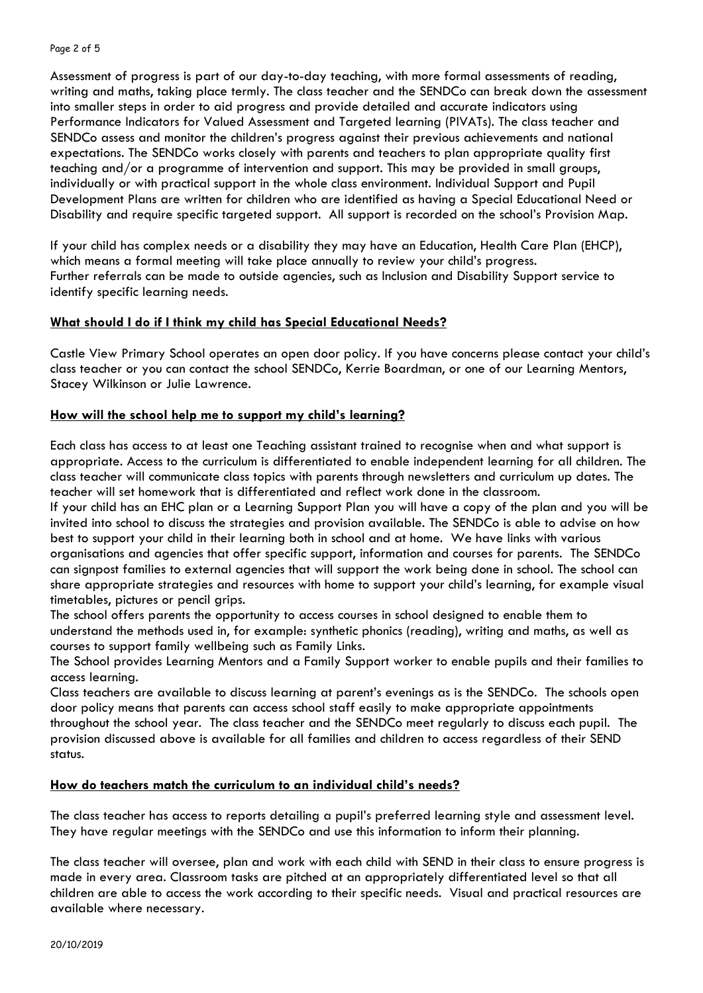Assessment of progress is part of our day-to-day teaching, with more formal assessments of reading, writing and maths, taking place termly. The class teacher and the SENDCo can break down the assessment into smaller steps in order to aid progress and provide detailed and accurate indicators using Performance Indicators for Valued Assessment and Targeted learning (PIVATs). The class teacher and SENDCo assess and monitor the children's progress against their previous achievements and national expectations. The SENDCo works closely with parents and teachers to plan appropriate quality first teaching and/or a programme of intervention and support. This may be provided in small groups, individually or with practical support in the whole class environment. Individual Support and Pupil Development Plans are written for children who are identified as having a Special Educational Need or Disability and require specific targeted support. All support is recorded on the school's Provision Map.

If your child has complex needs or a disability they may have an Education, Health Care Plan (EHCP), which means a formal meeting will take place annually to review your child's progress. Further referrals can be made to outside agencies, such as Inclusion and Disability Support service to identify specific learning needs.

## **What should I do if I think my child has Special Educational Needs?**

Castle View Primary School operates an open door policy. If you have concerns please contact your child's class teacher or you can contact the school SENDCo, Kerrie Boardman, or one of our Learning Mentors, Stacey Wilkinson or Julie Lawrence.

### **How will the school help me to support my child's learning?**

Each class has access to at least one Teaching assistant trained to recognise when and what support is appropriate. Access to the curriculum is differentiated to enable independent learning for all children. The class teacher will communicate class topics with parents through newsletters and curriculum up dates. The teacher will set homework that is differentiated and reflect work done in the classroom.

If your child has an EHC plan or a Learning Support Plan you will have a copy of the plan and you will be invited into school to discuss the strategies and provision available. The SENDCo is able to advise on how best to support your child in their learning both in school and at home. We have links with various organisations and agencies that offer specific support, information and courses for parents. The SENDCo can signpost families to external agencies that will support the work being done in school. The school can share appropriate strategies and resources with home to support your child's learning, for example visual timetables, pictures or pencil grips.

The school offers parents the opportunity to access courses in school designed to enable them to understand the methods used in, for example: synthetic phonics (reading), writing and maths, as well as courses to support family wellbeing such as Family Links.

The School provides Learning Mentors and a Family Support worker to enable pupils and their families to access learning.

Class teachers are available to discuss learning at parent's evenings as is the SENDCo. The schools open door policy means that parents can access school staff easily to make appropriate appointments throughout the school year. The class teacher and the SENDCo meet regularly to discuss each pupil. The provision discussed above is available for all families and children to access regardless of their SEND status.

## **How do teachers match the curriculum to an individual child's needs?**

The class teacher has access to reports detailing a pupil's preferred learning style and assessment level. They have regular meetings with the SENDCo and use this information to inform their planning.

The class teacher will oversee, plan and work with each child with SEND in their class to ensure progress is made in every area. Classroom tasks are pitched at an appropriately differentiated level so that all children are able to access the work according to their specific needs. Visual and practical resources are available where necessary.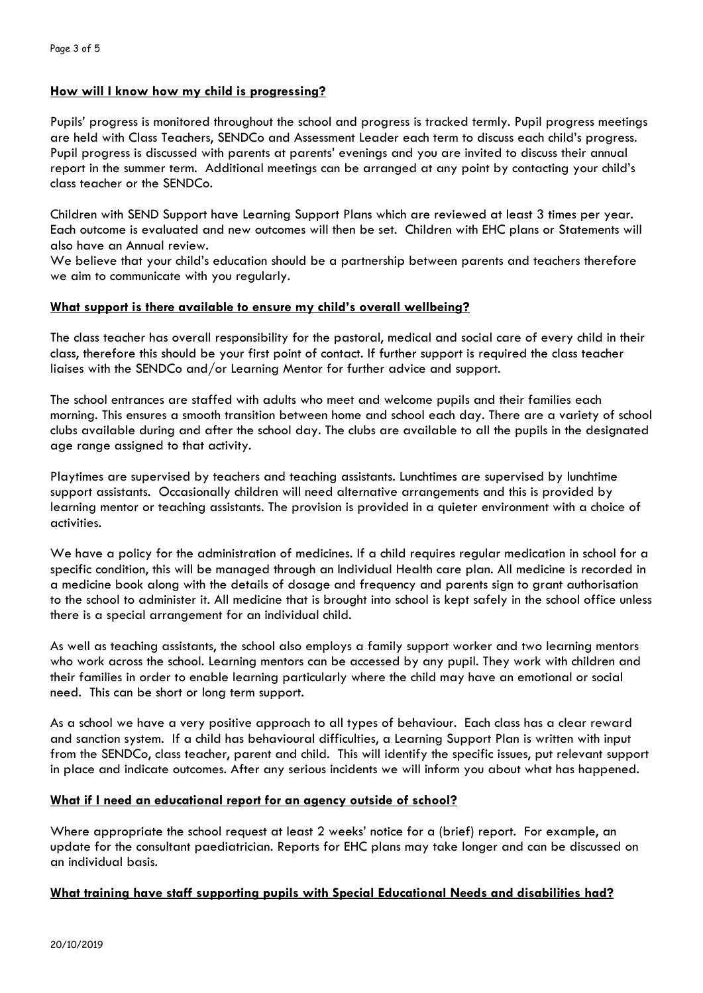## **How will I know how my child is progressing?**

Pupils' progress is monitored throughout the school and progress is tracked termly. Pupil progress meetings are held with Class Teachers, SENDCo and Assessment Leader each term to discuss each child's progress. Pupil progress is discussed with parents at parents' evenings and you are invited to discuss their annual report in the summer term. Additional meetings can be arranged at any point by contacting your child's class teacher or the SENDCo.

Children with SEND Support have Learning Support Plans which are reviewed at least 3 times per year. Each outcome is evaluated and new outcomes will then be set. Children with EHC plans or Statements will also have an Annual review.

We believe that your child's education should be a partnership between parents and teachers therefore we aim to communicate with you regularly.

#### **What support is there available to ensure my child's overall wellbeing?**

The class teacher has overall responsibility for the pastoral, medical and social care of every child in their class, therefore this should be your first point of contact. If further support is required the class teacher liaises with the SENDCo and/or Learning Mentor for further advice and support.

The school entrances are staffed with adults who meet and welcome pupils and their families each morning. This ensures a smooth transition between home and school each day. There are a variety of school clubs available during and after the school day. The clubs are available to all the pupils in the designated age range assigned to that activity.

Playtimes are supervised by teachers and teaching assistants. Lunchtimes are supervised by lunchtime support assistants. Occasionally children will need alternative arrangements and this is provided by learning mentor or teaching assistants. The provision is provided in a quieter environment with a choice of activities.

We have a policy for the administration of medicines. If a child requires regular medication in school for a specific condition, this will be managed through an Individual Health care plan. All medicine is recorded in a medicine book along with the details of dosage and frequency and parents sign to grant authorisation to the school to administer it. All medicine that is brought into school is kept safely in the school office unless there is a special arrangement for an individual child.

As well as teaching assistants, the school also employs a family support worker and two learning mentors who work across the school. Learning mentors can be accessed by any pupil. They work with children and their families in order to enable learning particularly where the child may have an emotional or social need. This can be short or long term support.

As a school we have a very positive approach to all types of behaviour. Each class has a clear reward and sanction system. If a child has behavioural difficulties, a Learning Support Plan is written with input from the SENDCo, class teacher, parent and child. This will identify the specific issues, put relevant support in place and indicate outcomes. After any serious incidents we will inform you about what has happened.

#### **What if I need an educational report for an agency outside of school?**

Where appropriate the school request at least 2 weeks' notice for a (brief) report. For example, an update for the consultant paediatrician. Reports for EHC plans may take longer and can be discussed on an individual basis.

#### **What training have staff supporting pupils with Special Educational Needs and disabilities had?**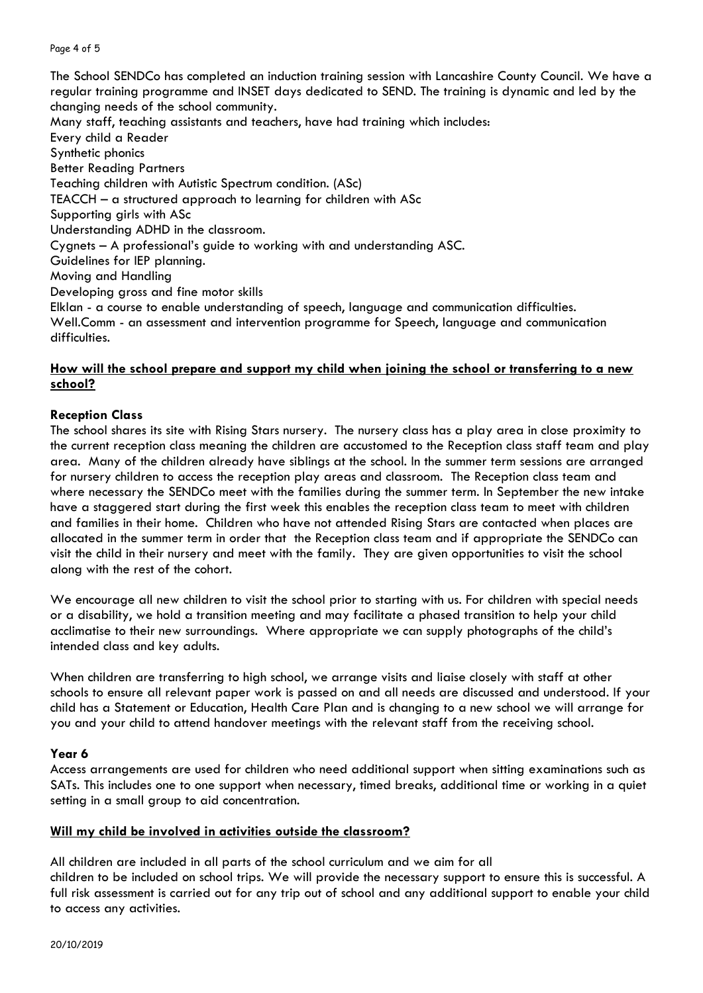#### Page 4 of 5

The School SENDCo has completed an induction training session with Lancashire County Council. We have a regular training programme and INSET days dedicated to SEND. The training is dynamic and led by the changing needs of the school community.

Many staff, teaching assistants and teachers, have had training which includes: Every child a Reader Synthetic phonics Better Reading Partners Teaching children with Autistic Spectrum condition. (ASc) TEACCH – a structured approach to learning for children with ASc Supporting girls with ASc Understanding ADHD in the classroom. Cygnets – A professional's guide to working with and understanding ASC. Guidelines for IEP planning. Moving and Handling Developing gross and fine motor skills Elklan - a course to enable understanding of speech, language and communication difficulties. Well.Comm - an assessment and intervention programme for Speech, language and communication difficulties.

### **How will the school prepare and support my child when joining the school or transferring to a new school?**

#### **Reception Class**

The school shares its site with Rising Stars nursery. The nursery class has a play area in close proximity to the current reception class meaning the children are accustomed to the Reception class staff team and play area. Many of the children already have siblings at the school. In the summer term sessions are arranged for nursery children to access the reception play areas and classroom. The Reception class team and where necessary the SENDCo meet with the families during the summer term. In September the new intake have a staggered start during the first week this enables the reception class team to meet with children and families in their home. Children who have not attended Rising Stars are contacted when places are allocated in the summer term in order that the Reception class team and if appropriate the SENDCo can visit the child in their nursery and meet with the family. They are given opportunities to visit the school along with the rest of the cohort.

We encourage all new children to visit the school prior to starting with us. For children with special needs or a disability, we hold a transition meeting and may facilitate a phased transition to help your child acclimatise to their new surroundings. Where appropriate we can supply photographs of the child's intended class and key adults.

When children are transferring to high school, we arrange visits and liaise closely with staff at other schools to ensure all relevant paper work is passed on and all needs are discussed and understood. If your child has a Statement or Education, Health Care Plan and is changing to a new school we will arrange for you and your child to attend handover meetings with the relevant staff from the receiving school.

#### **Year 6**

Access arrangements are used for children who need additional support when sitting examinations such as SATs. This includes one to one support when necessary, timed breaks, additional time or working in a quiet setting in a small group to aid concentration.

#### **Will my child be involved in activities outside the classroom?**

All children are included in all parts of the school curriculum and we aim for all children to be included on school trips. We will provide the necessary support to ensure this is successful. A full risk assessment is carried out for any trip out of school and any additional support to enable your child to access any activities.